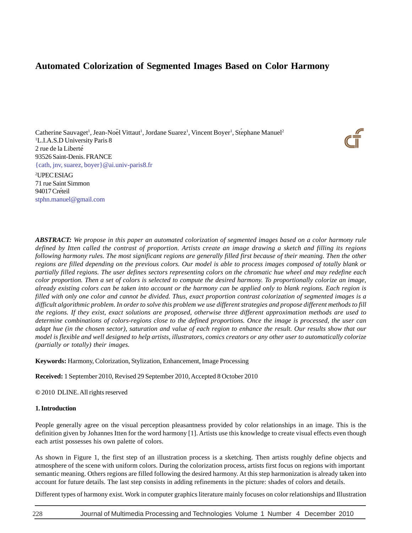# **Automated Colorization of Segmented Images Based on Color Harmony**

Catherine Sauvaget<sup>1</sup>, Jean-Noël Vittaut<sup>1</sup>, Jordane Suarez<sup>1</sup>, Vincent Boyer<sup>1</sup>, Stéphane Manuel<sup>2</sup> <sup>1</sup>L.I.A.S.D University Paris 8 2 rue de la Liberté 93526 Saint-Denis. FRANCE {cath, jnv, suarez, boyer}@ai.univ-paris8.fr 2 UPEC ESIAG 71 rue Saint Simmon 94017 Créteil stphn.manuel@gmail.com



*ABSTRACT: We propose in this paper an automated colorization of segmented images based on a color harmony rule defined by Itten called the contrast of proportion. Artists create an image drawing a sketch and filling its regions following harmony rules. The most significant regions are generally filled first because of their meaning. Then the other regions are filled depending on the previous colors. Our model is able to process images composed of totally blank or partially filled regions. The user defines sectors representing colors on the chromatic hue wheel and may redefine each color proportion. Then a set of colors is selected to compute the desired harmony. To proportionally colorize an image, already existing colors can be taken into account or the harmony can be applied only to blank regions. Each region is filled with only one color and cannot be divided. Thus, exact proportion contrast colorization of segmented images is a difficult algorithmic problem. In order to solve this problem we use different strategies and propose different methods to fill the regions. If they exist, exact solutions are proposed, otherwise three different approximation methods are used to determine combinations of colors-regions close to the defined proportions. Once the image is processed, the user can adapt hue (in the chosen sector), saturation and value of each region to enhance the result. Our results show that our model is flexible and well designed to help artists, illustrators, comics creators or any other user to automatically colorize (partially or totally) their images.*

**Keywords:** Harmony, Colorization, Stylization, Enhancement, Image Processing

**Received:** 1 September 2010, Revised 29 September 2010, Accepted 8 October 2010

**©** 2010 DLINE. All rights reserved

### **1. Introduction**

People generally agree on the visual perception pleasantness provided by color relationships in an image. This is the definition given by Johannes Itten for the word harmony [1]. Artists use this knowledge to create visual effects even though each artist possesses his own palette of colors.

As shown in Figure 1, the first step of an illustration process is a sketching. Then artists roughly define objects and atmosphere of the scene with uniform colors. During the colorization process, artists first focus on regions with important semantic meaning. Others regions are filled following the desired harmony. At this step harmonization is already taken into account for future details. The last step consists in adding refinements in the picture: shades of colors and details.

Different types of harmony exist. Work in computer graphics literature mainly focuses on color relationships and Illustration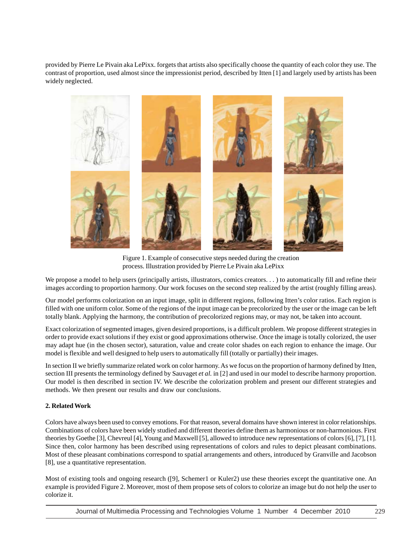provided by Pierre Le Pivain aka LePixx. forgets that artists also specifically choose the quantity of each color they use. The contrast of proportion, used almost since the impressionist period, described by Itten [1] and largely used by artists has been widely neglected.



Figure 1. Example of consecutive steps needed during the creation process. Illustration provided by Pierre Le Pivain aka LePixx

We propose a model to help users (principally artists, illustrators, comics creators. . . ) to automatically fill and refine their images according to proportion harmony. Our work focuses on the second step realized by the artist (roughly filling areas).

Our model performs colorization on an input image, split in different regions, following Itten's color ratios. Each region is filled with one uniform color. Some of the regions of the input image can be precolorized by the user or the image can be left totally blank. Applying the harmony, the contribution of precolorized regions may, or may not, be taken into account.

Exact colorization of segmented images, given desired proportions, is a difficult problem. We propose different strategies in order to provide exact solutions if they exist or good approximations otherwise. Once the image is totally colorized, the user may adapt hue (in the chosen sector), saturation, value and create color shades on each region to enhance the image. Our model is flexible and well designed to help users to automatically fill (totally or partially) their images.

In section II we briefly summarize related work on color harmony. As we focus on the proportion of harmony defined by Itten, section III presents the terminology defined by Sauvaget *et al.* in [2] and used in our model to describe harmony proportion. Our model is then described in section IV. We describe the colorization problem and present our different strategies and methods. We then present our results and draw our conclusions.

# **2. Related Work**

Colors have always been used to convey emotions. For that reason, several domains have shown interest in color relationships. Combinations of colors have been widely studied and different theories define them as harmonious or non-harmonious. First theories by Goethe [3], Chevreul [4], Young and Maxwell [5], allowed to introduce new representations of colors [6], [7], [1]. Since then, color harmony has been described using representations of colors and rules to depict pleasant combinations. Most of these pleasant combinations correspond to spatial arrangements and others, introduced by Granville and Jacobson [8], use a quantitative representation.

Most of existing tools and ongoing research ([9], Schemer1 or Kuler2) use these theories except the quantitative one. An example is provided Figure 2. Moreover, most of them propose sets of colors to colorize an image but do not help the user to colorize it.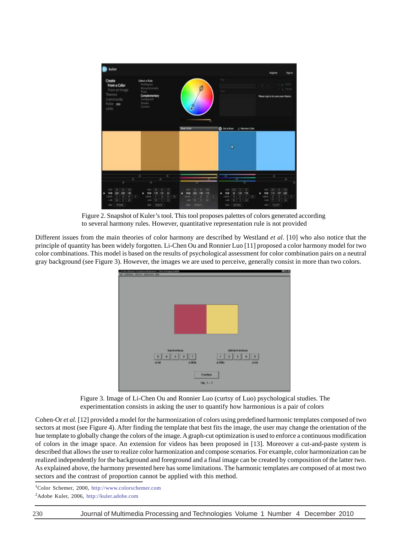

Figure 2. Snapshot of Kuler's tool. This tool proposes palettes of colors generated according to several harmony rules. However, quantitative representation rule is not provided

Different issues from the main theories of color harmony are described by Westland *et al.* [10] who also notice that the principle of quantity has been widely forgotten. Li-Chen Ou and Ronnier Luo [11] proposed a color harmony model for two color combinations. This model is based on the results of psychological assessment for color combination pairs on a neutral gray background (see Figure 3). However, the images we are used to perceive, generally consist in more than two colors.



Figure 3. Image of Li-Chen Ou and Ronnier Luo (curtsy of Luo) psychological studies. The experimentation consists in asking the user to quantify how harmonious is a pair of colors

Cohen-Or *et al.* [12] provided a model for the harmonization of colors using predefined harmonic templates composed of two sectors at most (see Figure 4). After finding the template that best fits the image, the user may change the orientation of the hue template to globally change the colors of the image. A graph-cut optimization is used to enforce a continuous modification of colors in the image space. An extension for videos has been proposed in [13]. Moreover a cut-and-paste system is described that allows the user to realize color harmonization and compose scenarios. For example, color harmonization can be realized independently for the background and foreground and a final image can be created by composition of the latter two. As explained above, the harmony presented here has some limitations. The harmonic templates are composed of at most two sectors and the contrast of proportion cannot be applied with this method.

<sup>1</sup> Color Schemer, 2000, http://www.colorschemer.com

<sup>2</sup> Adobe Kuler, 2006, http://kuler.adobe.com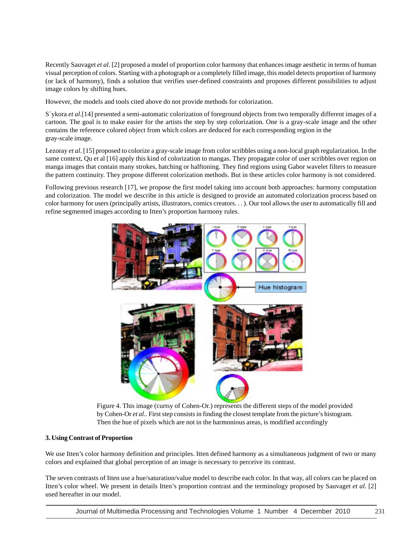Recently Sauvaget *et al.* [2] proposed a model of proportion color harmony that enhances image aesthetic in terms of human visual perception of colors. Starting with a photograph or a completely filled image, this model detects proportion of harmony (or lack of harmony), finds a solution that verifies user-defined constraints and proposes different possibilities to adjust image colors by shifting hues.

However, the models and tools cited above do not provide methods for colorization.

S´ykora *et al.*[14] presented a semi-automatic colorization of foreground objects from two temporally different images of a cartoon. The goal is to make easier for the artists the step by step colorization. One is a gray-scale image and the other contains the reference colored object from which colors are deduced for each corresponding region in the gray-scale image.

Lezoray *et al.* [15] proposed to colorize a gray-scale image from color scribbles using a non-local graph regularization. In the same context, Qu et al [16] apply this kind of colorization to mangas. They propagate color of user scribbles over region on manga images that contain many strokes, hatching or halftoning. They find regions using Gabor wavelet filters to measure the pattern continuity. They propose different colorization methods. But in these articles color harmony is not considered.

Following previous research [17], we propose the first model taking into account both approaches: harmony computation and colorization. The model we describe in this article is designed to provide an automated colorization process based on color harmony for users (principally artists, illustrators, comics creators. . . ). Our tool allows the user to automatically fill and refine segmented images according to Itten's proportion harmony rules.



Figure 4. This image (curtsy of Cohen-Or.) represents the different steps of the model provided by Cohen-Or *et al.*. First step consists in finding the closest template from the picture's histogram. Then the hue of pixels which are not in the harmonious areas, is modified accordingly

# **3. Using Contrast of Proportion**

We use Itten's color harmony definition and principles. Itten defined harmony as a simultaneous judgment of two or many colors and explained that global perception of an image is necessary to perceive its contrast.

The seven contrasts of Itten use a hue/saturation/value model to describe each color. In that way, all colors can be placed on Itten's color wheel. We present in details Itten's proportion contrast and the terminology proposed by Sauvaget *et al.* [2] used hereafter in our model.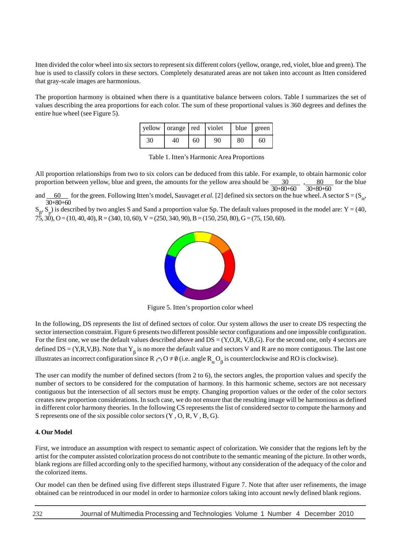Itten divided the color wheel into six sectors to represent six different colors (yellow, orange, red, violet, blue and green). The hue is used to classify colors in these sectors. Completely desaturated areas are not taken into account as Itten considered that gray-scale images are harmonious.

The proportion harmony is obtained when there is a quantitative balance between colors. Table I summarizes the set of values describing the area proportions for each color. The sum of these proportional values is 360 degrees and defines the entire hue wheel (see Figure 5).

| yellow   orange   red   violet |    |    |    | blue $ $ green! |    |  |
|--------------------------------|----|----|----|-----------------|----|--|
| 30                             | 40 | 60 | 90 | 80              | 60 |  |

Table 1. Itten's Harmonic Area Proportions

All proportion relationships from two to six colors can be deduced from this table. For example, to obtain harmonic color proportion between yellow, blue and green, the amounts for the yellow area should be  $\frac{30}{\sqrt{30}}$ ,  $\frac{80}{\sqrt{30}}$  for the blue 30+80+60 30+80+60

and  $\underline{60}$  for the green. Following Itten's model, Sauvaget *et al.* [2] defined six sectors on the hue wheel. A sector S = (S<sub> $\alpha$ </sub>, 30+80+60

 $S_\beta, S_\rho$ ) is described by two angles S and Sand a proportion value Sp. The default values proposed in the model are: Y = (40,  $75, 30$ ,  $O = (10, 40, 40)$ ,  $R = (340, 10, 60)$ ,  $V = (250, 340, 90)$ ,  $B = (150, 250, 80)$ ,  $G = (75, 150, 60)$ .



Figure 5. Itten's proportion color wheel

In the following, DS represents the list of defined sectors of color. Our system allows the user to create DS respecting the sector intersection constraint. Figure 6 presents two different possible sector configurations and one impossible configuration. For the first one, we use the default values described above and  $DS = (Y, O, R, V, B, G)$ . For the second one, only 4 sectors are defined  $DS = (Y,R,V,B)$ . Note that  $Y_\beta$  is no more the default value and sectors V and R are no more contiguous. The last one illustrates an incorrect configuration since  $R \cap O \neq \emptyset$  (i.e. angle  $R_{\alpha}O_{\beta}$  is counterclockwise and RO is clockwise).

The user can modify the number of defined sectors (from 2 to 6), the sectors angles, the proportion values and specify the number of sectors to be considered for the computation of harmony. In this harmonic scheme, sectors are not necessary contiguous but the intersection of all sectors must be empty. Changing proportion values or the order of the color sectors creates new proportion considerations. In such case, we do not ensure that the resulting image will be harmonious as defined in different color harmony theories. In the following CS represents the list of considered sector to compute the harmony and S represents one of the six possible color sectors (Y , O, R, V , B, G).

### **4. Our Model**

First, we introduce an assumption with respect to semantic aspect of colorization. We consider that the regions left by the artist for the computer assisted colorization process do not contribute to the semantic meaning of the picture. In other words, blank regions are filled according only to the specified harmony, without any consideration of the adequacy of the color and the colorized items.

Our model can then be defined using five different steps illustrated Figure 7. Note that after user refinements, the image obtained can be reintroduced in our model in order to harmonize colors taking into account newly defined blank regions.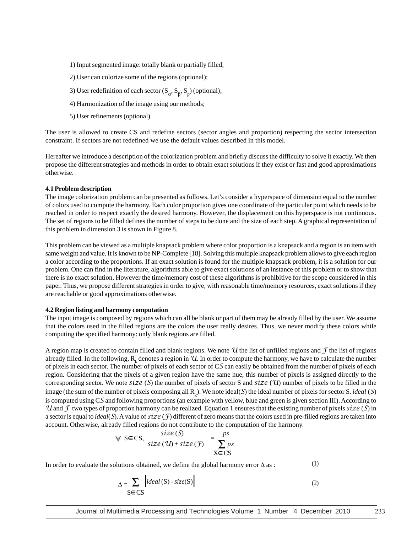- 1) Input segmented image: totally blank or partially filled;
- 2) User can colorize some of the regions (optional);
- 3) User redefinition of each sector  $(S_{\alpha}, S_{\beta}, S_{p})$  (optional);
- 4) Harmonization of the image using our methods;
- 5) User refinements (optional).

The user is allowed to create CS and redefine sectors (sector angles and proportion) respecting the sector intersection constraint. If sectors are not redefined we use the default values described in this model.

Hereafter we introduce a description of the colorization problem and briefly discuss the difficulty to solve it exactly. We then propose the different strategies and methods in order to obtain exact solutions if they exist or fast and good approximations otherwise.

## **4.1 Problem description**

The image colorization problem can be presented as follows. Let's consider a hyperspace of dimension equal to the number of colors used to compute the harmony. Each color proportion gives one coordinate of the particular point which needs to be reached in order to respect exactly the desired harmony. However, the displacement on this hyperspace is not continuous. The set of regions to be filled defines the number of steps to be done and the size of each step. A graphical representation of this problem in dimension 3 is shown in Figure 8.

This problem can be viewed as a multiple knapsack problem where color proportion is a knapsack and a region is an item with same weight and value. It is known to be NP-Complete [18]. Solving this multiple knapsack problem allows to give each region a color according to the proportions. If an exact solution is found for the multiple knapsack problem, it is a solution for our problem. One can find in the literature, algorithms able to give exact solutions of an instance of this problem or to show that there is no exact solution. However the time/memory cost of these algorithms is prohibitive for the scope considered in this paper. Thus, we propose different strategies in order to give, with reasonable time/memory resources, exact solutions if they are reachable or good approximations otherwise.

### **4.2 Region listing and harmony computation**

The input image is composed by regions which can all be blank or part of them may be already filled by the user. We assume that the colors used in the filled regions are the colors the user really desires. Thus, we never modify these colors while computing the specified harmony: only blank regions are filled.

A region map is created to contain filled and blank regions. We note *U* the list of unfilled regions and *F* the list of regions already filled. In the following,  $R_{_k}$  denotes a region in  $u$ . In order to compute the harmony, we have to calculate the number of pixels in each sector. The number of pixels of each sector of C*S* can easily be obtained from the number of pixels of each region. Considering that the pixels of a given region have the same hue, this number of pixels is assigned directly to the corresponding sector. We note *size* (*S*) the number of pixels of sector S and *size* (*U*) number of pixels to be filled in the image (the sum of the number of pixels composing all  $R_k$ ). We note ideal(*S*) the ideal number of pixels for sector *S. ideal* (*S*) is computed using C*S* and following proportions (an example with yellow, blue and green is given section III). According to *U* and *F* two types of proportion harmony can be realized. Equation 1 ensures that the existing number of pixels *size* (*S*) in a sector is equal to *ideal*(*S*). A value of *size* (*F*) different of zero means that the colors used in pre-filled regions are taken into account. Otherwise, already filled regions do not contribute to the computation of the harmony.

$$
\forall \ \mathbf{S} \in \mathbf{CS}, \frac{\mathbf{size}\left(\mathbf{S}\right)}{\mathbf{size}\left(\mathbf{U}\right) + \mathbf{size}\left(\mathbf{\mathcal{F}}\right)} = \frac{ps}{\sum_{\mathbf{X} \in \mathbf{CS}} px}
$$

In order to evaluate the solutions obtained, we define the global harmony error  $\Delta$  as : (1)

$$
\Delta = \sum_{S \in CS} \left| ideal(S) - size(S) \right| \tag{2}
$$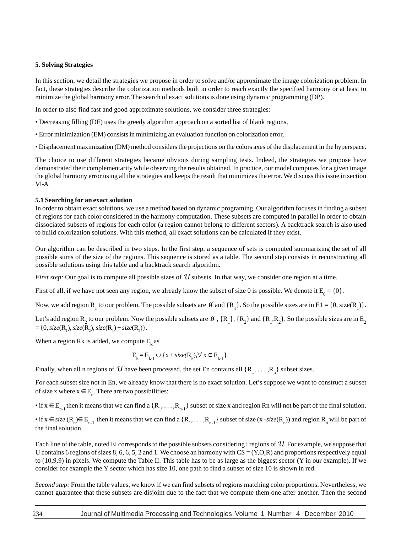## **5. Solving Strategies**

In this section, we detail the strategies we propose in order to solve and/or approximate the image colorization problem. In fact, these strategies describe the colorization methods built in order to reach exactly the specified harmony or at least to minimize the global harmony error. The search of exact solutions is done using dynamic programming (DP).

In order to also find fast and good approximate solutions, we consider three strategies:

- Decreasing filling (DF) uses the greedy algorithm approach on a sorted list of blank regions,
- Error minimization (EM) consists in minimizing an evaluation function on colorization error,
- Displacement maximization (DM) method considers the projections on the colors axes of the displacement in the hyperspace.

The choice to use different strategies became obvious during sampling tests. Indeed, the strategies we propose have demonstrated their complementarity while observing the results obtained. In practice, our model computes for a given image the global harmony error using all the strategies and keeps the result that minimizes the error. We discuss this issue in section VI-A.

## **5.1 Searching for an exact solution**

In order to obtain exact solutions, we use a method based on dynamic programing. Our algorithm focuses in finding a subset of regions for each color considered in the harmony computation. These subsets are computed in parallel in order to obtain dissociated subsets of regions for each color (a region cannot belong to different sectors). A backtrack search is also used to build colorization solutions. With this method, all exact solutions can be calculated if they exist.

Our algorithm can be described in two steps. In the first step, a sequence of sets is computed summarizing the set of all possible sums of the size of the regions. This sequence is stored as a table. The second step consists in reconstructing all possible solutions using this table and a backtrack search algorithm.

*First step:* Our goal is to compute all possible sizes of *U* subsets. In that way, we consider one region at a time.

First of all, if we have not seen any region, we already know the subset of size 0 is possible. We denote it  $E_0 = \{0\}$ .

Now, we add region R<sub>1</sub> to our problem. The possible subsets are  $\emptyset$  and  $\{R_1\}$ . So the possible sizes are in E1 =  $\{0, size(R_1)\}$ .

Let's add region  $R_2$  to our problem. Now the possible subsets are  $\emptyset$  ,  $\{R_1\}$ ,  $\{R_2\}$  and  $\{R_1, R_2\}$ . So the possible sizes are in  $E_2$  $= \{0, \text{size}(\mathbf{R}_1), \text{size}(\mathbf{R}_2), \text{size}(\mathbf{R}_1) + \text{size}(\mathbf{R}_2) \}.$ 

When a region Rk is added, we compute  $E_k$  as

$$
E_k = E_{k-1} \cup \{x + size(R_k), \forall x \in E_{k-1}\}
$$

Finally, when all n regions of  $U$  have been processed, the set En contains all  $\{R_1, \ldots, R_n\}$  subset sizes.

For each subset size not in En, we already know that there is no exact solution. Let's suppose we want to construct a subset of size x where  $x \in E_n$ . There are two possibilities:

• if  $x \in E_{n-1}$  then it means that we can find a  $\{R_1, \ldots, R_{n-1}\}$  subset of size x and region Rn will not be part of the final solution.

• if  $x \in \text{size } (R_n) \in E_{n-1}$  then it means that we can find a  $\{R_1, \ldots, R_{n-1}\}$  subset of size  $(x - \text{size}(R_n))$  and region  $R_n$  will be part of the final solution.

Each line of the table, noted Ei corresponds to the possible subsets considering i regions of *U*. For example, we suppose that U contains 6 regions of sizes 8, 6, 6, 5, 2 and 1. We choose an harmony with  $CS = (Y, O, R)$  and proportions respectively equal to (10,9,9) in pixels. We compute the Table II. This table has to be as large as the biggest sector (Y in our example). If we consider for example the Y sector which has size 10, one path to find a subset of size 10 is shown in red.

*Second step:* From the table values, we know if we can find subsets of regions matching color proportions. Nevertheless, we cannot guarantee that these subsets are disjoint due to the fact that we compute them one after another. Then the second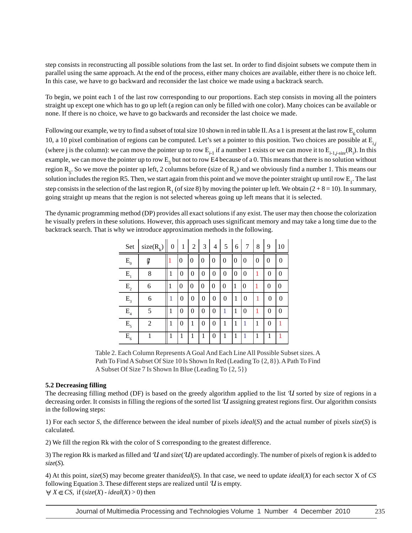step consists in reconstructing all possible solutions from the last set. In order to find disjoint subsets we compute them in parallel using the same approach. At the end of the process, either many choices are available, either there is no choice left. In this case, we have to go backward and reconsider the last choice we made using a backtrack search.

To begin, we point each 1 of the last row corresponding to our proportions. Each step consists in moving all the pointers straight up except one which has to go up left (a region can only be filled with one color). Many choices can be available or none. If there is no choice, we have to go backwards and reconsider the last choice we made.

Following our example, we try to find a subset of total size 10 shown in red in table II. As a 1 is present at the last row  $E_6$  column 10, a 10 pixel combination of regions can be computed. Let's set a pointer to this position. Two choices are possible at E*i,j* (where j is the column): we can move the pointer up to row  $E_{i-1}$  if a number 1 exists or we can move it to  $E_{i-1,j-size}(R_i)$ . In this example, we can move the pointer up to row  $E_5$  but not to row E4 because of a 0. This means that there is no solution without region  $R_5$ . So we move the pointer up left, 2 columns before (size of  $R_5$ ) and we obviously find a number 1. This means our solution includes the region R5. Then, we start again from this point and we move the pointer straight up until row  $E_1$ . The last step consists in the selection of the last region R<sub>1</sub> (of size 8) by moving the pointer up left. We obtain  $(2 + 8 = 10)$ . In summary, going straight up means that the region is not selected whereas going up left means that it is selected.

The dynamic programming method (DP) provides all exact solutions if any exist. The user may then choose the colorization he visually prefers in these solutions. However, this approach uses significant memory and may take a long time due to the backtrack search. That is why we introduce approximation methods in the following.

| Set      | $size(R_k)$ | 0 | 1              | 2              | 3              | 4              | 5 | 6              | 7              | 8              | 9              | 10       |
|----------|-------------|---|----------------|----------------|----------------|----------------|---|----------------|----------------|----------------|----------------|----------|
| $E_{_0}$ | ũ           |   | $\overline{0}$ | $\theta$       | $\overline{0}$ | 0              | 0 | $\overline{0}$ | $\theta$       | $\overline{0}$ | $\theta$       | 0        |
| $E_{1}$  | 8           |   | $\overline{0}$ | $\overline{0}$ | $\overline{0}$ | 0              | 0 | $\overline{0}$ | $\overline{0}$ |                | $\overline{0}$ | $\theta$ |
| $E_{2}$  | 6           | 1 | 0              | $\theta$       | $\Omega$       | $\overline{0}$ | 0 | 1              | $\theta$       | 1              | 0              | $\theta$ |
| $E_{3}$  | 6           | 1 | $\overline{0}$ | 0              | 0              | 0              | 0 | 1              | $\overline{0}$ |                | 0              | $\theta$ |
| $E_{4}$  | 5           | 1 | $\theta$       | $\theta$       | $\theta$       | $\theta$       | 1 | 1              | $\theta$       |                | $\overline{0}$ | $\theta$ |
| $E_{5}$  | 2           | 1 | $\overline{0}$ | 1              | 0              | 0              | 1 | 1              |                | 1              | $\overline{0}$ |          |
| $E_{6}$  |             | 1 | 1              | 1              | 1              | 0              | 1 | 1              |                | 1              | 1              |          |

Table 2. Each Column Represents A Goal And Each Line All Possible Subset sizes. A Path To Find A Subset Of Size 10 Is Shown In Red (Leading To {2, 8}). A Path To Find A Subset Of Size 7 Is Shown In Blue (Leading To {2, 5})

### **5.2 Decreasing filling**

The decreasing filling method (DF) is based on the greedy algorithm applied to the list *U* sorted by size of regions in a decreasing order. It consists in filling the regions of the sorted list *U* assigning greatest regions first. Our algorithm consists in the following steps:

1) For each sector *S*, the difference between the ideal number of pixels *ideal*(*S*) and the actual number of pixels *size*(*S*) is calculated.

2) We fill the region Rk with the color of S corresponding to the greatest difference.

3) The region Rk is marked as filled and *U* and *size*(*U*) are updated accordingly. The number of pixels of region k is added to *size*(*S*).

4) At this point, *size*(*S*) may become greater than*ideal*(*S*). In that case, we need to update *ideal*(*X*) for each sector X of *CS* following Equation 3. These different steps are realized until  $\mathcal U$  is empty.  $\forall X \in CS$ , if  $(size(X) - ideal(X) > 0)$  then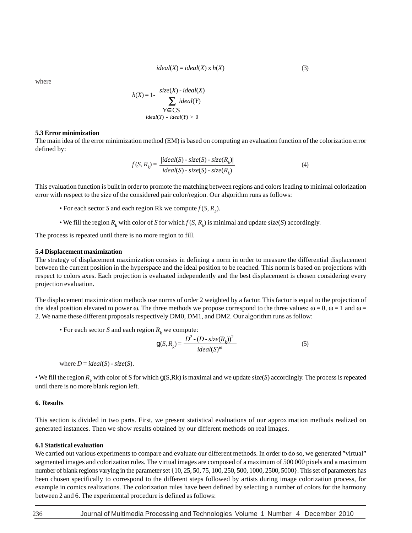$$
ideal(X) = ideal(X) \times h(X)
$$
\n(3)

where

$$
h(X) = 1 - \frac{size(X) - ideal(X)}{\sum_{Y \in CS} ideal(Y)}
$$

$$
i\text{dead}(Y) - ideal(Y) > 0
$$

#### **5.3 Error minimization**

The main idea of the error minimization method (EM) is based on computing an evaluation function of the colorization error defined by:

$$
f(S, Rk) = \frac{|ideal(S) - size(S) - size(Rk)|}{ideal(S) - size(S) - size(Rk)} \tag{4}
$$

This evaluation function is built in order to promote the matching between regions and colors leading to minimal colorization error with respect to the size of the considered pair color/region. Our algorithm runs as follows:

- For each sector *S* and each region Rk we compute  $f(S, R_k)$ .
- We fill the region  $R_k$  with color of *S* for which  $f(S, R_k)$  is minimal and update *size*(*S*) accordingly.

The process is repeated until there is no more region to fill.

#### **5.4 Displacement maximization**

The strategy of displacement maximization consists in defining a norm in order to measure the differential displacement between the current position in the hyperspace and the ideal position to be reached. This norm is based on projections with respect to colors axes. Each projection is evaluated independently and the best displacement is chosen considering every projection evaluation.

The displacement maximization methods use norms of order 2 weighted by a factor. This factor is equal to the projection of the ideal position elevated to power  $\omega$ . The three methods we propose correspond to the three values:  $\omega = 0$ ,  $\omega = 1$  and  $\omega =$ 2. We name these different proposals respectively DM0, DM1, and DM2. Our algorithm runs as follow:

• For each sector *S* and each region  $R_k$  we compute:

$$
g(S, Rk) = \frac{D2 - (D - size(Rk))2}{ideal(S)0}
$$
 (5)

where  $D = ideal(S) - size(S)$ .

• We fill the region  $R_k$  with color of S for which  $g(S, Rk)$  is maximal and we update  $size(S)$  accordingly. The process is repeated until there is no more blank region left.

#### **6. Results**

This section is divided in two parts. First, we present statistical evaluations of our approximation methods realized on generated instances. Then we show results obtained by our different methods on real images.

### **6.1 Statistical evaluation**

We carried out various experiments to compare and evaluate our different methods. In order to do so, we generated "virtual" segmented images and colorization rules. The virtual images are composed of a maximum of 500 000 pixels and a maximum number of blank regions varying in the parameter set {10, 25, 50, 75, 100, 250, 500, 1000, 2500, 5000}. This set of parameters has been chosen specifically to correspond to the different steps followed by artists during image colorization process, for example in comics realizations. The colorization rules have been defined by selecting a number of colors for the harmony between 2 and 6. The experimental procedure is defined as follows: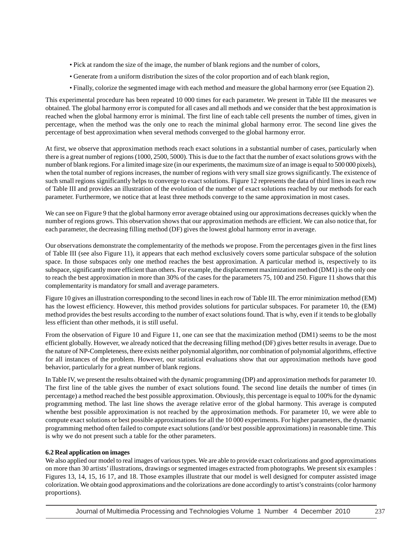- Pick at random the size of the image, the number of blank regions and the number of colors,
- Generate from a uniform distribution the sizes of the color proportion and of each blank region,
- Finally, colorize the segmented image with each method and measure the global harmony error (see Equation 2).

This experimental procedure has been repeated 10 000 times for each parameter. We present in Table III the measures we obtained. The global harmony error is computed for all cases and all methods and we consider that the best approximation is reached when the global harmony error is minimal. The first line of each table cell presents the number of times, given in percentage, when the method was the only one to reach the minimal global harmony error. The second line gives the percentage of best approximation when several methods converged to the global harmony error.

At first, we observe that approximation methods reach exact solutions in a substantial number of cases, particularly when there is a great number of regions (1000, 2500, 5000). This is due to the fact that the number of exact solutions grows with the number of blank regions. For a limited image size (in our experiments, the maximum size of an image is equal to 500 000 pixels), when the total number of regions increases, the number of regions with very small size grows significantly. The existence of such small regions significantly helps to converge to exact solutions. Figure 12 represents the data of third lines in each row of Table III and provides an illustration of the evolution of the number of exact solutions reached by our methods for each parameter. Furthermore, we notice that at least three methods converge to the same approximation in most cases.

We can see on Figure 9 that the global harmony error average obtained using our approximations decreases quickly when the number of regions grows. This observation shows that our approximation methods are efficient. We can also notice that, for each parameter, the decreasing filling method (DF) gives the lowest global harmony error in average.

Our observations demonstrate the complementarity of the methods we propose. From the percentages given in the first lines of Table III (see also Figure 11), it appears that each method exclusively covers some particular subspace of the solution space. In those subspaces only one method reaches the best approximation. A particular method is, respectively to its subspace, significantly more efficient than others. For example, the displacement maximization method (DM1) is the only one to reach the best approximation in more than 30% of the cases for the parameters 75, 100 and 250. Figure 11 shows that this complementarity is mandatory for small and average parameters.

Figure 10 gives an illustration corresponding to the second lines in each row of Table III. The error minimization method (EM) has the lowest efficiency. However, this method provides solutions for particular subspaces. For parameter 10, the (EM) method provides the best results according to the number of exact solutions found. That is why, even if it tends to be globally less efficient than other methods, it is still useful.

From the observation of Figure 10 and Figure 11, one can see that the maximization method (DM1) seems to be the most efficient globally. However, we already noticed that the decreasing filling method (DF) gives better results in average. Due to the nature of NP-Completeness, there exists neither polynomial algorithm, nor combination of polynomial algorithms, effective for all instances of the problem. However, our statistical evaluations show that our approximation methods have good behavior, particularly for a great number of blank regions.

In Table IV, we present the results obtained with the dynamic programming (DP) and approximation methods for parameter 10. The first line of the table gives the number of exact solutions found. The second line details the number of times (in percentage) a method reached the best possible approximation. Obviously, this percentage is equal to 100% for the dynamic programming method. The last line shows the average relative error of the global harmony. This average is computed whenthe best possible approximation is not reached by the approximation methods. For parameter 10, we were able to compute exact solutions or best possible approximations for all the 10 000 experiments. For higher parameters, the dynamic programming method often failed to compute exact solutions (and/or best possible approximations) in reasonable time. This is why we do not present such a table for the other parameters.

# **6.2 Real application on images**

We also applied our model to real images of various types. We are able to provide exact colorizations and good approximations on more than 30 artists' illustrations, drawings or segmented images extracted from photographs. We present six examples : Figures 13, 14, 15, 16 17, and 18. Those examples illustrate that our model is well designed for computer assisted image colorization. We obtain good approximations and the colorizations are done accordingly to artist's constraints (color harmony proportions).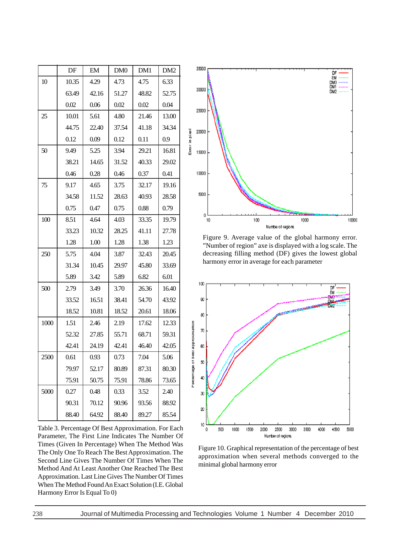|      | DF    | $\mathop{\rm EM}\nolimits$ | DM <sub>0</sub> | DM1   | DM <sub>2</sub> |  |
|------|-------|----------------------------|-----------------|-------|-----------------|--|
| 10   | 10.35 | 4.29                       | 4.73            | 4.75  | 6.33            |  |
|      | 63.49 | 42.16                      | 51.27           | 48.82 | 52.75           |  |
|      | 0.02  | 0.06                       | 0.02            | 0.02  | 0.04            |  |
| 25   | 10.01 | 5.61                       | 4.80            | 21.46 | 13.00           |  |
|      | 44.75 | 22.40                      | 37.54           | 41.18 | 34.34           |  |
|      | 0.12  | 0.09                       | 0.12            | 0.11  | 0.9             |  |
| 50   | 9.49  | 5.25                       | 3.94            | 29.21 | 16.81           |  |
|      | 38.21 | 14.65                      | 31.52           | 40.33 | 29.02           |  |
|      | 0.46  | 0.28                       | 0.46            | 0.37  | 0.41            |  |
| 75   | 9.17  | 4.65                       | 3.75            | 32.17 | 19.16           |  |
|      | 34.58 | 11.52                      | 28.63           | 40.93 | 28.58           |  |
|      | 0.75  | 0.47                       | 0.75            | 0.88  | 0.79            |  |
| 100  | 8.51  | 4.64                       | 4.03            | 33.35 | 19.79           |  |
|      | 33.23 | 10.32                      | 28.25           | 41.11 | 27.78           |  |
|      | 1.28  | 1.00                       | 1.28            | 1.38  | 1.23            |  |
| 250  | 5.75  | 4.04                       | 3.87            | 32.43 | 20.45           |  |
|      | 31.34 | 10.45                      | 29.97           | 45.80 | 33.69           |  |
|      | 5.89  | 3.42                       | 5.89            | 6.82  | 6.01            |  |
| 500  | 2.79  | 3.49                       | 3.70            | 26.36 | 16.40           |  |
|      | 33.52 | 16.51                      | 38.41           | 54.70 | 43.92           |  |
|      | 18.52 | 10.81                      | 18.52           | 20.61 | 18.06           |  |
| 1000 | 1.51  | 2.46                       | 2.19            | 17.62 | 12.33           |  |
|      | 52.32 | 27.85                      | 55.71           | 68.71 | 59.31           |  |
|      | 42.41 | 24.19                      | 42.41           | 46.40 | 42.05           |  |
| 2500 | 0.61  | 0.93                       | 0.73            | 7.04  | 5.06            |  |
|      | 79.97 | 52.17                      | 80.89           | 87.31 | 80.30           |  |
|      | 75.91 | 50.75                      | 75.91           | 78.86 | 73.65           |  |
| 5000 | 0.27  | 0.48                       | 0.33            | 3.52  | 2.40            |  |
|      | 90.31 | 70.12                      | 90.96           | 93.56 | 88.92           |  |
|      | 88.40 | 64.92                      | 88.40           | 89.27 | 85.54           |  |

Table 3. Percentage Of Best Approximation. For Each Parameter, The First Line Indicates The Number Of Times (Given In Percentage) When The Method Was The Only One To Reach The Best Approximation. The Second Line Gives The Number Of Times When The Method And At Least Another One Reached The Best Approximation. Last Line Gives The Number Of Times When The Method Found An Exact Solution (I.E. Global Harmony Error Is Equal To 0)



Figure 9. Average value of the global harmony error. "Number of region" axe is displayed with a log scale. The decreasing filling method (DF) gives the lowest global harmony error in average for each parameter



Figure 10. Graphical representation of the percentage of best approximation when several methods converged to the minimal global harmony error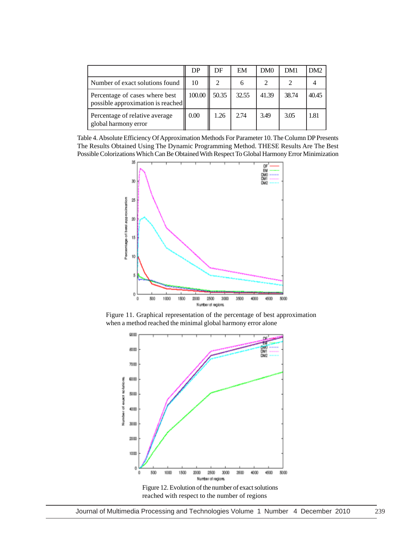|                                                                     | DP     | DF    | EM    | DM <sub>0</sub> | DM1   | DM <sub>2</sub> |
|---------------------------------------------------------------------|--------|-------|-------|-----------------|-------|-----------------|
| Number of exact solutions found                                     | 10     |       | 6     |                 |       |                 |
| Percentage of cases where best<br>possible approximation is reached | 100.00 | 50.35 | 32.55 | 41.39           | 38.74 | 40.45           |
| Percentage of relative average<br>global harmony error              | 0.00   | 1.26  | 2.74  | 3.49            | 3.05  | 1.81            |

Table 4. Absolute Efficiency Of Approximation Methods For Parameter 10. The Column DP Presents The Results Obtained Using The Dynamic Programming Method. THESE Results Are The Best Possible Colorizations Which Can Be Obtained With Respect To Global Harmony Error Minimization



Figure 11. Graphical representation of the percentage of best approximation when a method reached the minimal global harmony error alone



Figure 12. Evolution of the number of exact solutions reached with respect to the number of regions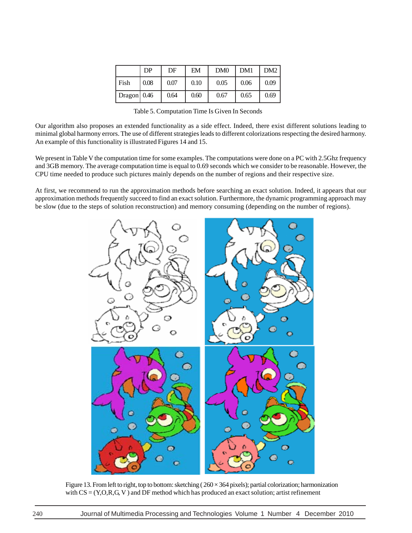|               | DP   | DF   | EM   | DMO  | DM1  | DM2  |
|---------------|------|------|------|------|------|------|
| Fish          | 0.08 | 0.07 | 0.10 | 0.05 | 0.06 | 0.09 |
| Dragon $0.46$ |      | 0.64 | 0.60 | 0.67 | 0.65 | 0.69 |

Table 5. Computation Time Is Given In Seconds

Our algorithm also proposes an extended functionality as a side effect. Indeed, there exist different solutions leading to minimal global harmony errors. The use of different strategies leads to different colorizations respecting the desired harmony. An example of this functionality is illustrated Figures 14 and 15.

We present in Table V the computation time for some examples. The computations were done on a PC with 2.5Ghz frequency and 3GB memory. The average computation time is equal to 0.69 seconds which we consider to be reasonable. However, the CPU time needed to produce such pictures mainly depends on the number of regions and their respective size.

At first, we recommend to run the approximation methods before searching an exact solution. Indeed, it appears that our approximation methods frequently succeed to find an exact solution. Furthermore, the dynamic programming approach may be slow (due to the steps of solution reconstruction) and memory consuming (depending on the number of regions).



Figure 13. From left to right, top to bottom: sketching  $(260 \times 364$  pixels); partial colorization; harmonization with  $CS = (Y, O, R, G, V)$  and DF method which has produced an exact solution; artist refinement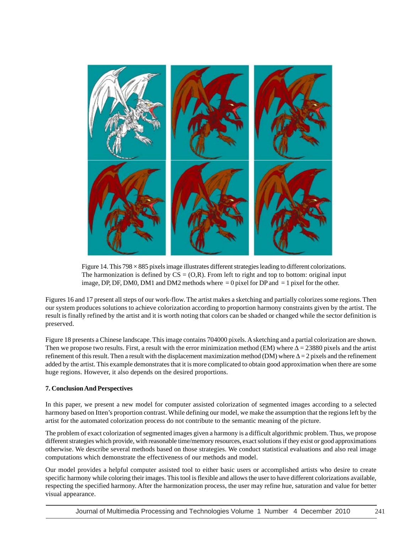

Figure 14. This 798 × 885 pixels image illustrates different strategies leading to different colorizations. The harmonization is defined by  $CS = (O,R)$ . From left to right and top to bottom: original input image, DP, DF, DM0, DM1 and DM2 methods where  $= 0$  pixel for DP and  $= 1$  pixel for the other.

Figures 16 and 17 present all steps of our work-flow. The artist makes a sketching and partially colorizes some regions. Then our system produces solutions to achieve colorization according to proportion harmony constraints given by the artist. The result is finally refined by the artist and it is worth noting that colors can be shaded or changed while the sector definition is preserved.

Figure 18 presents a Chinese landscape. This image contains 704000 pixels. A sketching and a partial colorization are shown. Then we propose two results. First, a result with the error minimization method (EM) where  $\Delta = 23880$  pixels and the artist refinement of this result. Then a result with the displacement maximization method (DM) where  $\Delta = 2$  pixels and the refinement added by the artist. This example demonstrates that it is more complicated to obtain good approximation when there are some huge regions. However, it also depends on the desired proportions.

# **7. Conclusion And Perspectives**

In this paper, we present a new model for computer assisted colorization of segmented images according to a selected harmony based on Itten's proportion contrast. While defining our model, we make the assumption that the regions left by the artist for the automated colorization process do not contribute to the semantic meaning of the picture.

The problem of exact colorization of segmented images given a harmony is a difficult algorithmic problem. Thus, we propose different strategies which provide, with reasonable time/memory resources, exact solutions if they exist or good approximations otherwise. We describe several methods based on those strategies. We conduct statistical evaluations and also real image computations which demonstrate the effectiveness of our methods and model.

Our model provides a helpful computer assisted tool to either basic users or accomplished artists who desire to create specific harmony while coloring their images. This tool is flexible and allows the user to have different colorizations available, respecting the specified harmony. After the harmonization process, the user may refine hue, saturation and value for better visual appearance.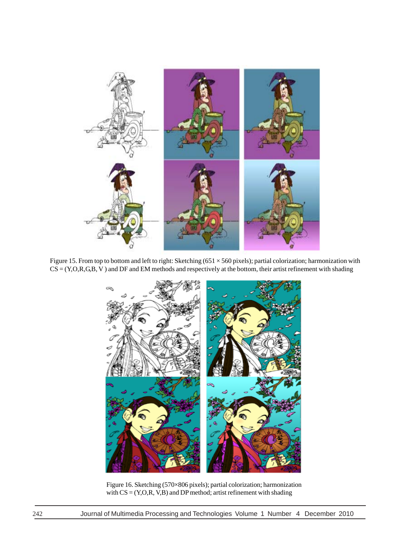

Figure 15. From top to bottom and left to right: Sketching (651  $\times$  560 pixels); partial colorization; harmonization with  $CS = (Y, O, R, G, B, V)$  and DF and EM methods and respectively at the bottom, their artist refinement with shading



Figure 16. Sketching (570×806 pixels); partial colorization; harmonization with CS = (Y,O,R, V,B) and DP method; artist refinement with shading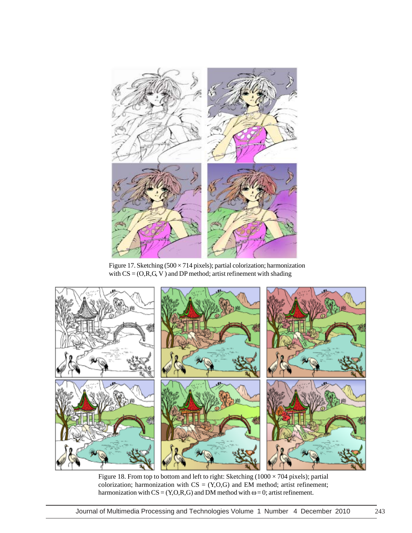

Figure 17. Sketching ( $500 \times 714$  pixels); partial colorization; harmonization with  $CS = (O,R,G,V)$  and DP method; artist refinement with shading



Figure 18. From top to bottom and left to right: Sketching (1000  $\times$  704 pixels); partial colorization; harmonization with  $CS = (Y, O, G)$  and EM method; artist refinement; harmonization with  $CS = (Y, O, R, G)$  and DM method with  $\omega = 0$ ; artist refinement.